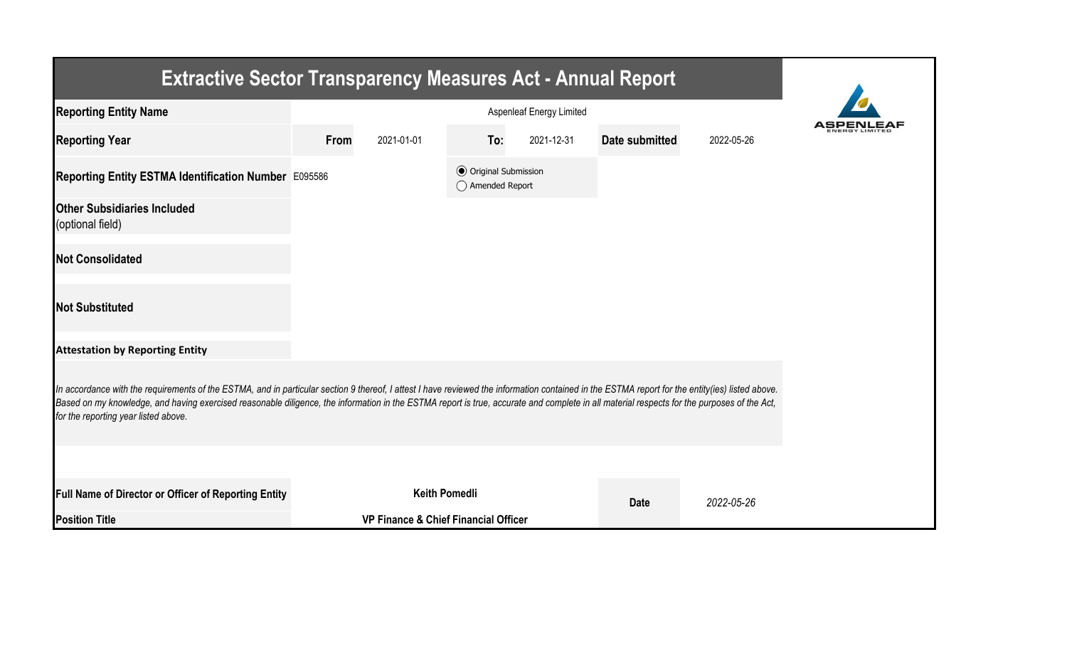| <b>Extractive Sector Transparency Measures Act - Annual Report</b>                                                                                                                                                                                                                                                                                                                                                                    |      |                                                 |                                                  |            |                |            |  |  |  |  |
|---------------------------------------------------------------------------------------------------------------------------------------------------------------------------------------------------------------------------------------------------------------------------------------------------------------------------------------------------------------------------------------------------------------------------------------|------|-------------------------------------------------|--------------------------------------------------|------------|----------------|------------|--|--|--|--|
| <b>Reporting Entity Name</b>                                                                                                                                                                                                                                                                                                                                                                                                          |      |                                                 |                                                  |            |                |            |  |  |  |  |
| <b>Reporting Year</b>                                                                                                                                                                                                                                                                                                                                                                                                                 | From | 2021-01-01                                      | To:                                              | 2021-12-31 | Date submitted | 2022-05-26 |  |  |  |  |
| Reporting Entity ESTMA Identification Number E095586                                                                                                                                                                                                                                                                                                                                                                                  |      |                                                 | <b>◎</b> Original Submission<br>◯ Amended Report |            |                |            |  |  |  |  |
| <b>Other Subsidiaries Included</b><br>(optional field)                                                                                                                                                                                                                                                                                                                                                                                |      |                                                 |                                                  |            |                |            |  |  |  |  |
| <b>Not Consolidated</b>                                                                                                                                                                                                                                                                                                                                                                                                               |      |                                                 |                                                  |            |                |            |  |  |  |  |
| <b>Not Substituted</b>                                                                                                                                                                                                                                                                                                                                                                                                                |      |                                                 |                                                  |            |                |            |  |  |  |  |
| <b>Attestation by Reporting Entity</b>                                                                                                                                                                                                                                                                                                                                                                                                |      |                                                 |                                                  |            |                |            |  |  |  |  |
| In accordance with the requirements of the ESTMA, and in particular section 9 thereof, I attest I have reviewed the information contained in the ESTMA report for the entity(ies) listed above.<br>Based on my knowledge, and having exercised reasonable diligence, the information in the ESTMA report is true, accurate and complete in all material respects for the purposes of the Act,<br>for the reporting year listed above. |      |                                                 |                                                  |            |                |            |  |  |  |  |
|                                                                                                                                                                                                                                                                                                                                                                                                                                       |      |                                                 |                                                  |            |                |            |  |  |  |  |
| Full Name of Director or Officer of Reporting Entity                                                                                                                                                                                                                                                                                                                                                                                  |      | <b>Keith Pomedli</b>                            |                                                  |            | <b>Date</b>    | 2022-05-26 |  |  |  |  |
| <b>Position Title</b>                                                                                                                                                                                                                                                                                                                                                                                                                 |      | <b>VP Finance &amp; Chief Financial Officer</b> |                                                  |            |                |            |  |  |  |  |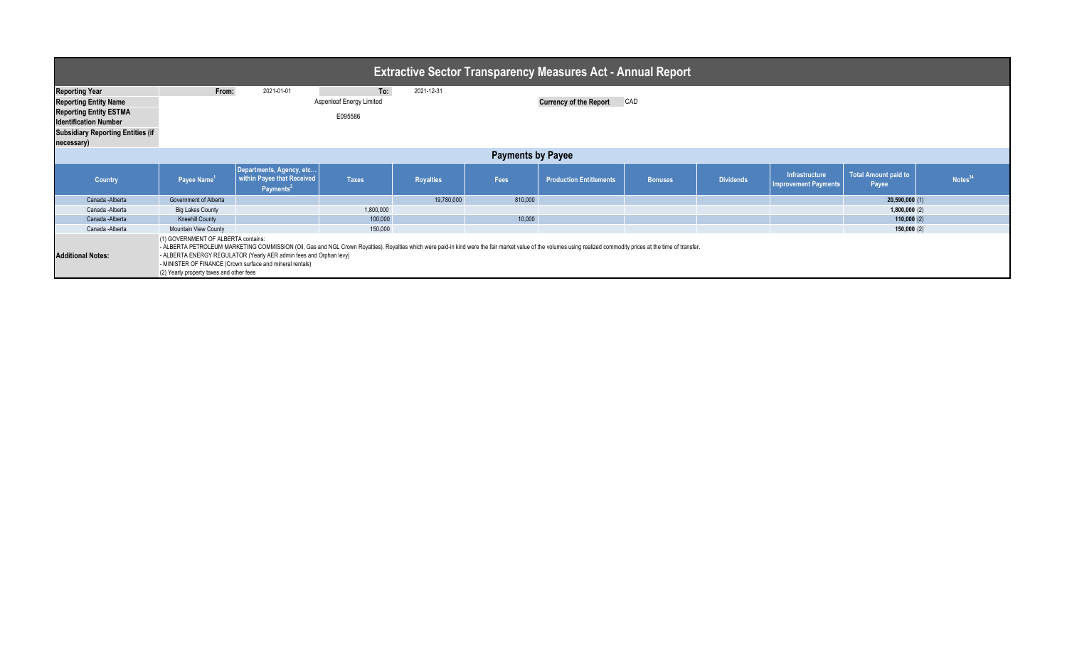| <b>Extractive Sector Transparency Measures Act - Annual Report</b>                                                                                                                                                                                                                                                                                                                                                                                                  |                             |                                                                                 |                                        |                  |         |                                |                |                  |                                               |                                      |                     |
|---------------------------------------------------------------------------------------------------------------------------------------------------------------------------------------------------------------------------------------------------------------------------------------------------------------------------------------------------------------------------------------------------------------------------------------------------------------------|-----------------------------|---------------------------------------------------------------------------------|----------------------------------------|------------------|---------|--------------------------------|----------------|------------------|-----------------------------------------------|--------------------------------------|---------------------|
| <b>Reporting Year</b><br><b>Reporting Entity Name</b>                                                                                                                                                                                                                                                                                                                                                                                                               | From:                       | 2021-01-01                                                                      | To:<br><b>Aspenleaf Energy Limited</b> | 2021-12-31       |         | <b>Currency of the Report</b>  | CAD            |                  |                                               |                                      |                     |
| <b>Reporting Entity ESTMA</b><br><b>Identification Number</b><br><b>Subsidiary Reporting Entities (if</b>                                                                                                                                                                                                                                                                                                                                                           |                             |                                                                                 | E095586                                |                  |         |                                |                |                  |                                               |                                      |                     |
| necessary)<br><b>Payments by Payee</b>                                                                                                                                                                                                                                                                                                                                                                                                                              |                             |                                                                                 |                                        |                  |         |                                |                |                  |                                               |                                      |                     |
| Country                                                                                                                                                                                                                                                                                                                                                                                                                                                             | Payee Name <sup>1</sup>     | Departments, Agency, etc<br>within Payee that Received<br>Payments <sup>2</sup> | <b>Taxes</b>                           | <b>Royalties</b> | Fees    | <b>Production Entitlements</b> | <b>Bonuses</b> | <b>Dividends</b> | Infrastructure<br><b>Improvement Payments</b> | <b>Total Amount paid to</b><br>Payee | Notes <sup>34</sup> |
| Canada - Alberta                                                                                                                                                                                                                                                                                                                                                                                                                                                    | Government of Alberta       |                                                                                 |                                        | 19,780,000       | 810,000 |                                |                |                  |                                               | 20,590,000(1)                        |                     |
| Canada -Alberta                                                                                                                                                                                                                                                                                                                                                                                                                                                     | <b>Big Lakes County</b>     |                                                                                 | 1,800,000                              |                  |         |                                |                |                  |                                               | 1,800,000(2)                         |                     |
| Canada - Alberta                                                                                                                                                                                                                                                                                                                                                                                                                                                    | <b>Kneehill County</b>      |                                                                                 | 100,000                                |                  | 10,000  |                                |                |                  |                                               | 110,000(2)                           |                     |
| Canada -Alberta                                                                                                                                                                                                                                                                                                                                                                                                                                                     | <b>Mountain View County</b> |                                                                                 | 150,000                                |                  |         |                                |                |                  |                                               | 150,000(2)                           |                     |
| (1) GOVERNMENT OF ALBERTA contains:<br>- ALBERTA PETROLEUM MARKETING COMMISSION (Oil, Gas and NGL Crown Royalties). Royalties which were paid-in kind were the fair market value of the volumes using realized commodity prices at the time of transfer.<br>- ALBERTA ENERGY REGULATOR (Yearly AER admin fees and Orphan levy)<br><b>Additional Notes:</b><br>- MINISTER OF FINANCE (Crown surface and mineral rentals)<br>(2) Yearly property taxes and other fees |                             |                                                                                 |                                        |                  |         |                                |                |                  |                                               |                                      |                     |